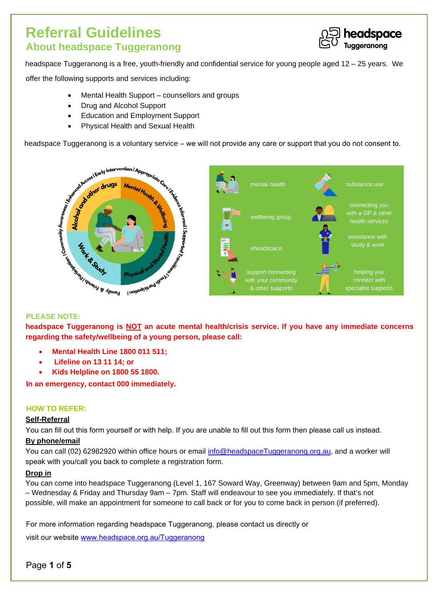# **Referral Guidelines About headspace Tuggeranong**



headspace Tuggeranong is a free, youth-friendly and confidential service for young people aged 12 – 25 years. We

offer the following supports and services including:

- Mental Health Support counsellors and groups
- Drug and Alcohol Support
- Education and Employment Support
- Physical Health and Sexual Health

headspace Tuggeranong is a voluntary service – we will not provide any care or support that you do not consent to.



**headspace Tuggeranong is NOT an acute mental health/crisis service. If you have any immediate concerns regarding the safety/wellbeing of a young person, please call:** 

- **Mental Health Line 1800 011 511;**
- **Lifeline on 13 11 14; or**
- **Kids Helpline on 1800 55 1800.**

**In an emergency, contact 000 immediately.** 

### **HOW TO REFER:**

### **Self-Referral**

You can fill out this form yourself or with help. If you are unable to fill out this form then please call us instead.

### **By phone/email**

You can call (02) 62982920 within office hours or email info@headspaceTuggeranong.org.au, and a worker will speak with you/call you back to complete a registration form.

### **Drop in**

You can come into headspace Tuggeranong (Level 1, 167 Soward Way, Greenway) between 9am and 5pm, Monday – Wednesday & Friday and Thursday 9am – 7pm. Staff will endeavour to see you immediately. If that's not possible, will make an appointment for someone to call back or for you to come back in person (if preferred).

For more information regarding headspace Tuggeranong, please contact us directly or

visit our website www.headspace.org.au/Tuggeranong

Page **1** of 5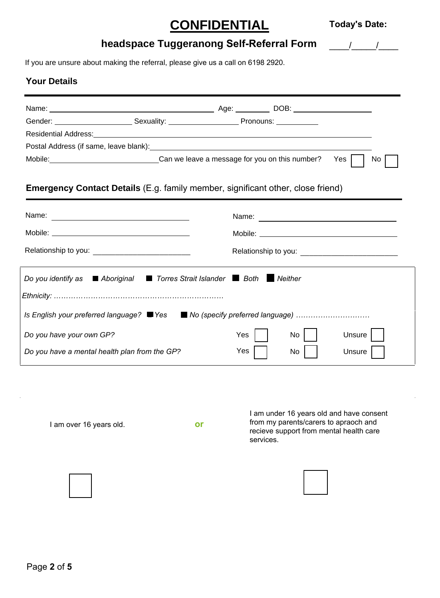# **CONFIDENTIAL**

 $\frac{1}{2}$ 

## **headspace Tuggeranong Self-Referral Form**

If you are unsure about making the referral, please give us a call on 6198 2920.

### **Your Details**

| Gender: Sexuality: Conder: Conder Sexuality: Conder Sexuality: Conder Sexuality: Conder Sexuality: Conder Sexuality:                                                                                                                                                                                |                                                                                                         |  |  |  |  |  |
|-----------------------------------------------------------------------------------------------------------------------------------------------------------------------------------------------------------------------------------------------------------------------------------------------------|---------------------------------------------------------------------------------------------------------|--|--|--|--|--|
| Residential Address: <u>New York: New York: New York: New York: New York: New York: New York: New York: New York: New York: New York: New York: New York: New York: New York: New York: New York: New York: New York: New York: </u>                                                                |                                                                                                         |  |  |  |  |  |
|                                                                                                                                                                                                                                                                                                     |                                                                                                         |  |  |  |  |  |
|                                                                                                                                                                                                                                                                                                     | Mobile: ___________________________________Can we leave a message for you on this number?<br>Yes<br>No. |  |  |  |  |  |
| <b>Emergency Contact Details</b> (E.g. family member, significant other, close friend)                                                                                                                                                                                                              |                                                                                                         |  |  |  |  |  |
|                                                                                                                                                                                                                                                                                                     |                                                                                                         |  |  |  |  |  |
|                                                                                                                                                                                                                                                                                                     |                                                                                                         |  |  |  |  |  |
|                                                                                                                                                                                                                                                                                                     |                                                                                                         |  |  |  |  |  |
| Torres Strait Islander Both Neither<br>Do you identify as $\blacksquare$ Aboriginal<br>Is English your preferred language? ■ Yes ■ No (specify preferred language)<br>Unsure  <br>Do you have your own GP?<br>Yes  <br>No.<br>Do you have a mental health plan from the GP?<br>Yes<br>Unsure<br>No. |                                                                                                         |  |  |  |  |  |

I am over 16 years old. **or**

I am under 16 years old and have consent from my parents/carers to apraoch and recieve support from mental health care services.



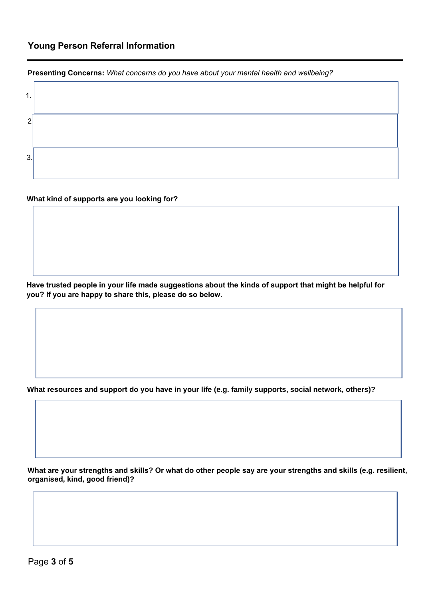### **Young Person Referral Information**

**Presenting Concerns:** *What concerns do you have about your mental health and wellbeing?*

| л<br>. . |  |
|----------|--|
| ົ        |  |
| 3.       |  |

### **What kind of supports are you looking for?**

**Have trusted people in your life made suggestions about the kinds of support that might be helpful for you? If you are happy to share this, please do so below.**

**What resources and support do you have in your life (e.g. family supports, social network, others)?** 

**What are your strengths and skills? Or what do other people say are your strengths and skills (e.g. resilient, organised, kind, good friend)?**